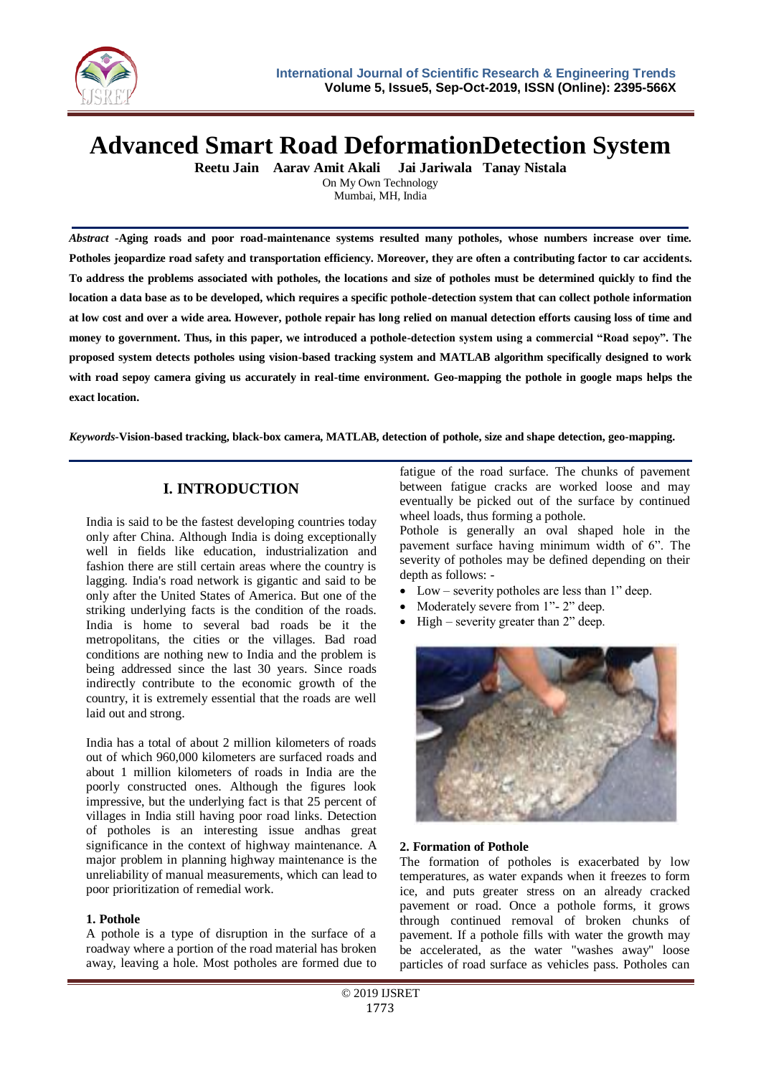

**Advanced Smart Road DeformationDetection System**

**Reetu Jain Aarav Amit Akali Jai Jariwala Tanay Nistala**

On My Own Technology Mumbai, MH, India

*Abstract* **-Aging roads and poor road-maintenance systems resulted many potholes, whose numbers increase over time. Potholes jeopardize road safety and transportation efficiency. Moreover, they are often a contributing factor to car accidents. To address the problems associated with potholes, the locations and size of potholes must be determined quickly to find the location a data base as to be developed, which requires a specific pothole-detection system that can collect pothole information at low cost and over a wide area. However, pothole repair has long relied on manual detection efforts causing loss of time and money to government. Thus, in this paper, we introduced a pothole-detection system using a commercial "Road sepoy". The proposed system detects potholes using vision-based tracking system and MATLAB algorithm specifically designed to work**  with road sepoy camera giving us accurately in real-time environment. Geo-mapping the pothole in google maps helps the **exact location.**

*Keywords***-Vision-based tracking, black-box camera, MATLAB, detection of pothole, size and shape detection, geo-mapping.**

# **I. INTRODUCTION**

India is said to be the fastest developing countries today only after China. Although India is doing exceptionally well in fields like education, industrialization and fashion there are still certain areas where the country is lagging. India's road network is gigantic and said to be only after the United States of America. But one of the striking underlying facts is the condition of the roads. India is home to several bad roads be it the metropolitans, the cities or the villages. Bad road conditions are nothing new to India and the problem is being addressed since the last 30 years. Since roads indirectly contribute to the economic growth of the country, it is extremely essential that the roads are well laid out and strong.

India has a total of about 2 million kilometers of roads out of which 960,000 kilometers are surfaced roads and about 1 million kilometers of roads in India are the poorly constructed ones. Although the figures look impressive, but the underlying fact is that 25 percent of villages in India still having poor road links. Detection of potholes is an interesting issue andhas great significance in the context of highway maintenance. A major problem in planning highway maintenance is the unreliability of manual measurements, which can lead to poor prioritization of remedial work.

# **1. Pothole**

A pothole is a type of disruption in the surface of a roadway where a portion of the road material has broken away, leaving a hole. Most potholes are formed due to

fatigue of the road surface. The chunks of pavement between fatigue cracks are worked loose and may eventually be picked out of the surface by continued wheel loads, thus forming a pothole.

Pothole is generally an oval shaped hole in the pavement surface having minimum width of 6". The severity of potholes may be defined depending on their depth as follows: -

- Low severity potholes are less than 1" deep.
- Moderately severe from 1"-2" deep.
- $\bullet$  High severity greater than 2" deep.



# **2. Formation of Pothole**

The formation of potholes is exacerbated by low temperatures, as water expands when it freezes to form ice, and puts greater stress on an already cracked pavement or road. Once a pothole forms, it grows through continued removal of broken chunks of pavement. If a pothole fills with water the growth may be accelerated, as the water "washes away" loose particles of road surface as vehicles pass. Potholes can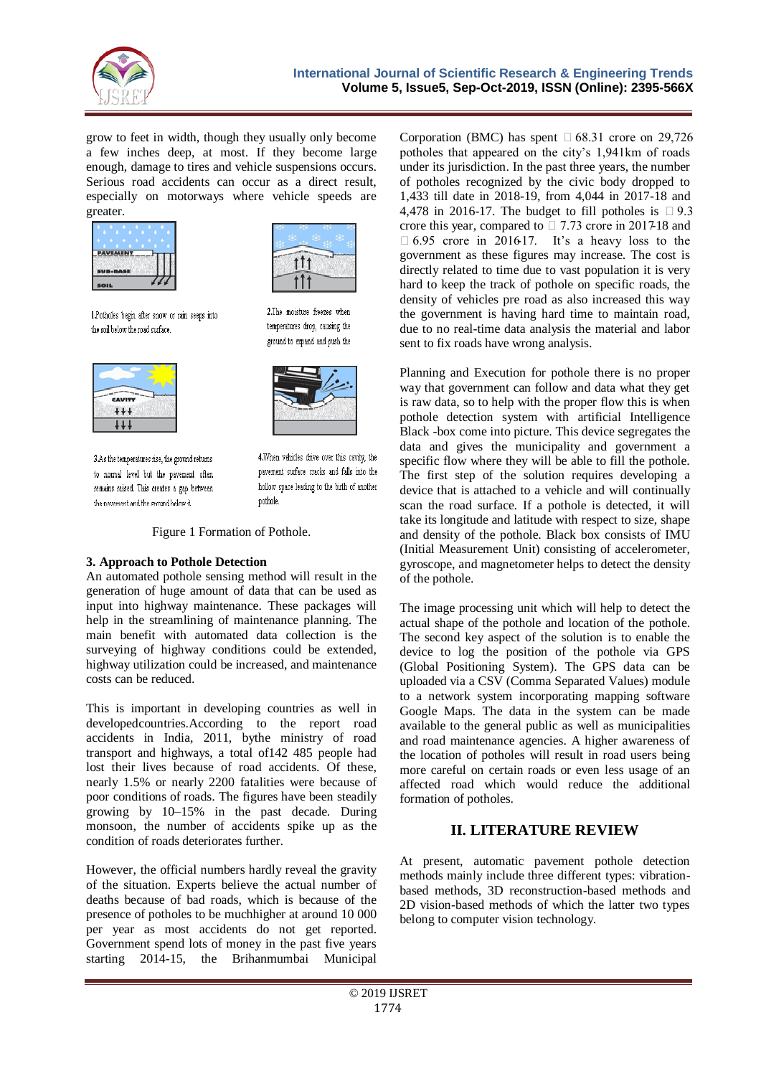

grow to feet in width, though they usually only become a few inches deep, at most. If they become large enough, damage to tires and vehicle suspensions occurs. Serious road accidents can occur as a direct result, especially on motorways where vehicle speeds are greater.



 $111$ ttt

1.Potholes begin after snow or rain seeps into the soil below the road surface.



3.As the temperatures rise, the ground returns to normal level but the pavement often remains raised. This creates a gap between the navement and the ground helow it.





4. When vehicles drive over this cavity, the pavement surface cracks and falls into the hollow space leading to the birth of another pothole.

Figure 1 Formation of Pothole.

#### **3. Approach to Pothole Detection**

An automated pothole sensing method will result in the generation of huge amount of data that can be used as input into highway maintenance. These packages will help in the streamlining of maintenance planning. The main benefit with automated data collection is the surveying of highway conditions could be extended, highway utilization could be increased, and maintenance costs can be reduced.

This is important in developing countries as well in developedcountries.According to the report road accidents in India, 2011, bythe ministry of road transport and highways, a total of142 485 people had lost their lives because of road accidents. Of these, nearly 1.5% or nearly 2200 fatalities were because of poor conditions of roads. The figures have been steadily growing by 10–15% in the past decade. During monsoon, the number of accidents spike up as the condition of roads deteriorates further.

However, the official numbers hardly reveal the gravity of the situation. Experts believe the actual number of deaths because of bad roads, which is because of the presence of potholes to be muchhigher at around 10 000 per year as most accidents do not get reported. Government spend lots of money in the past five years starting 2014-15, the Brihanmumbai Municipal

Corporation (BMC) has spent  $\Box$  68.31 crore on 29,726 potholes that appeared on the city"s 1,941km of roads under its jurisdiction. In the past three years, the number of potholes recognized by the civic body dropped to 1,433 till date in 2018-19, from 4,044 in 2017-18 and 4,478 in 2016-17. The budget to fill potholes is  $\Box$  9.3 crore this year, compared to  $\Box$  7.73 crore in 2017-18 and  $\Box$  6.95 crore in 2016-17. It's a heavy loss to the government as these figures may increase. The cost is directly related to time due to vast population it is very hard to keep the track of pothole on specific roads, the density of vehicles pre road as also increased this way the government is having hard time to maintain road, due to no real-time data analysis the material and labor sent to fix roads have wrong analysis.

Planning and Execution for pothole there is no proper way that government can follow and data what they get is raw data, so to help with the proper flow this is when pothole detection system with artificial Intelligence Black -box come into picture. This device segregates the data and gives the municipality and government a specific flow where they will be able to fill the pothole. The first step of the solution requires developing a device that is attached to a vehicle and will continually scan the road surface. If a pothole is detected, it will take its longitude and latitude with respect to size, shape and density of the pothole. Black box consists of IMU (Initial Measurement Unit) consisting of accelerometer, gyroscope, and magnetometer helps to detect the density of the pothole.

The image processing unit which will help to detect the actual shape of the pothole and location of the pothole. The second key aspect of the solution is to enable the device to log the position of the pothole via GPS (Global Positioning System). The GPS data can be uploaded via a CSV (Comma Separated Values) module to a network system incorporating mapping software Google Maps. The data in the system can be made available to the general public as well as municipalities and road maintenance agencies. A higher awareness of the location of potholes will result in road users being more careful on certain roads or even less usage of an affected road which would reduce the additional formation of potholes.

# **II. LITERATURE REVIEW**

At present, automatic pavement pothole detection methods mainly include three different types: vibrationbased methods, 3D reconstruction-based methods and 2D vision-based methods of which the latter two types belong to computer vision technology.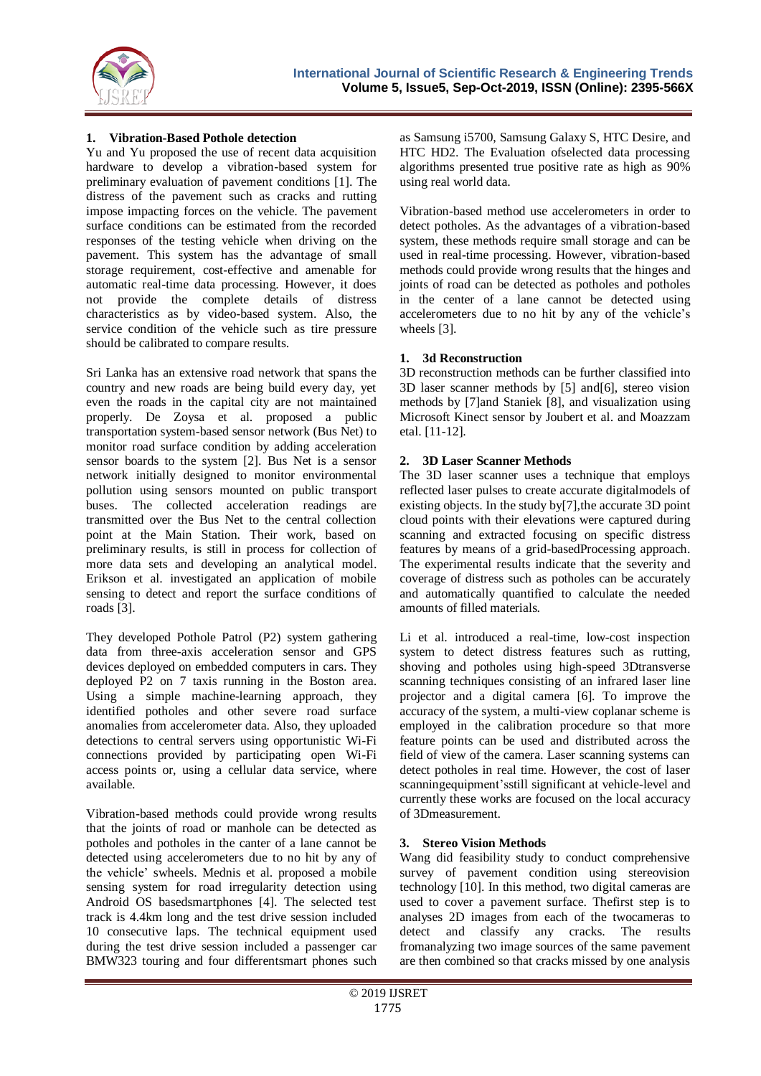

## **1. Vibration-Based Pothole detection**

Yu and Yu proposed the use of recent data acquisition hardware to develop a vibration-based system for preliminary evaluation of pavement conditions [1]. The distress of the pavement such as cracks and rutting impose impacting forces on the vehicle. The pavement surface conditions can be estimated from the recorded responses of the testing vehicle when driving on the pavement. This system has the advantage of small storage requirement, cost-effective and amenable for automatic real-time data processing. However, it does not provide the complete details of distress characteristics as by video-based system. Also, the service condition of the vehicle such as tire pressure should be calibrated to compare results.

Sri Lanka has an extensive road network that spans the country and new roads are being build every day, yet even the roads in the capital city are not maintained properly. De Zoysa et al. proposed a public transportation system-based sensor network (Bus Net) to monitor road surface condition by adding acceleration sensor boards to the system [2]. Bus Net is a sensor network initially designed to monitor environmental pollution using sensors mounted on public transport buses. The collected acceleration readings are transmitted over the Bus Net to the central collection point at the Main Station. Their work, based on preliminary results, is still in process for collection of more data sets and developing an analytical model. Erikson et al. investigated an application of mobile sensing to detect and report the surface conditions of roads [3].

They developed Pothole Patrol (P2) system gathering data from three-axis acceleration sensor and GPS devices deployed on embedded computers in cars. They deployed P2 on 7 taxis running in the Boston area. Using a simple machine-learning approach, they identified potholes and other severe road surface anomalies from accelerometer data. Also, they uploaded detections to central servers using opportunistic Wi-Fi connections provided by participating open Wi-Fi access points or, using a cellular data service, where available.

Vibration-based methods could provide wrong results that the joints of road or manhole can be detected as potholes and potholes in the canter of a lane cannot be detected using accelerometers due to no hit by any of the vehicle" swheels. Mednis et al. proposed a mobile sensing system for road irregularity detection using Android OS basedsmartphones [4]. The selected test track is 4.4km long and the test drive session included 10 consecutive laps. The technical equipment used during the test drive session included a passenger car BMW323 touring and four differentsmart phones such

as Samsung i5700, Samsung Galaxy S, HTC Desire, and HTC HD2. The Evaluation ofselected data processing algorithms presented true positive rate as high as 90% using real world data.

Vibration-based method use accelerometers in order to detect potholes. As the advantages of a vibration-based system, these methods require small storage and can be used in real-time processing. However, vibration-based methods could provide wrong results that the hinges and joints of road can be detected as potholes and potholes in the center of a lane cannot be detected using accelerometers due to no hit by any of the vehicle"s wheels [3].

### **1. 3d Reconstruction**

3D reconstruction methods can be further classified into 3D laser scanner methods by [5] and[6], stereo vision methods by [7]and Staniek [8], and visualization using Microsoft Kinect sensor by Joubert et al. and Moazzam etal. [11-12].

### **2. 3D Laser Scanner Methods**

The 3D laser scanner uses a technique that employs reflected laser pulses to create accurate digitalmodels of existing objects. In the study by[7],the accurate 3D point cloud points with their elevations were captured during scanning and extracted focusing on specific distress features by means of a grid-basedProcessing approach. The experimental results indicate that the severity and coverage of distress such as potholes can be accurately and automatically quantified to calculate the needed amounts of filled materials.

Li et al. introduced a real-time, low-cost inspection system to detect distress features such as rutting, shoving and potholes using high-speed 3Dtransverse scanning techniques consisting of an infrared laser line projector and a digital camera [6]. To improve the accuracy of the system, a multi-view coplanar scheme is employed in the calibration procedure so that more feature points can be used and distributed across the field of view of the camera. Laser scanning systems can detect potholes in real time. However, the cost of laser scanning equipment's still significant at vehicle-level and currently these works are focused on the local accuracy of 3Dmeasurement.

# **3. Stereo Vision Methods**

Wang did feasibility study to conduct comprehensive survey of pavement condition using stereovision technology [10]. In this method, two digital cameras are used to cover a pavement surface. Thefirst step is to analyses 2D images from each of the twocameras to detect and classify any cracks. The results fromanalyzing two image sources of the same pavement are then combined so that cracks missed by one analysis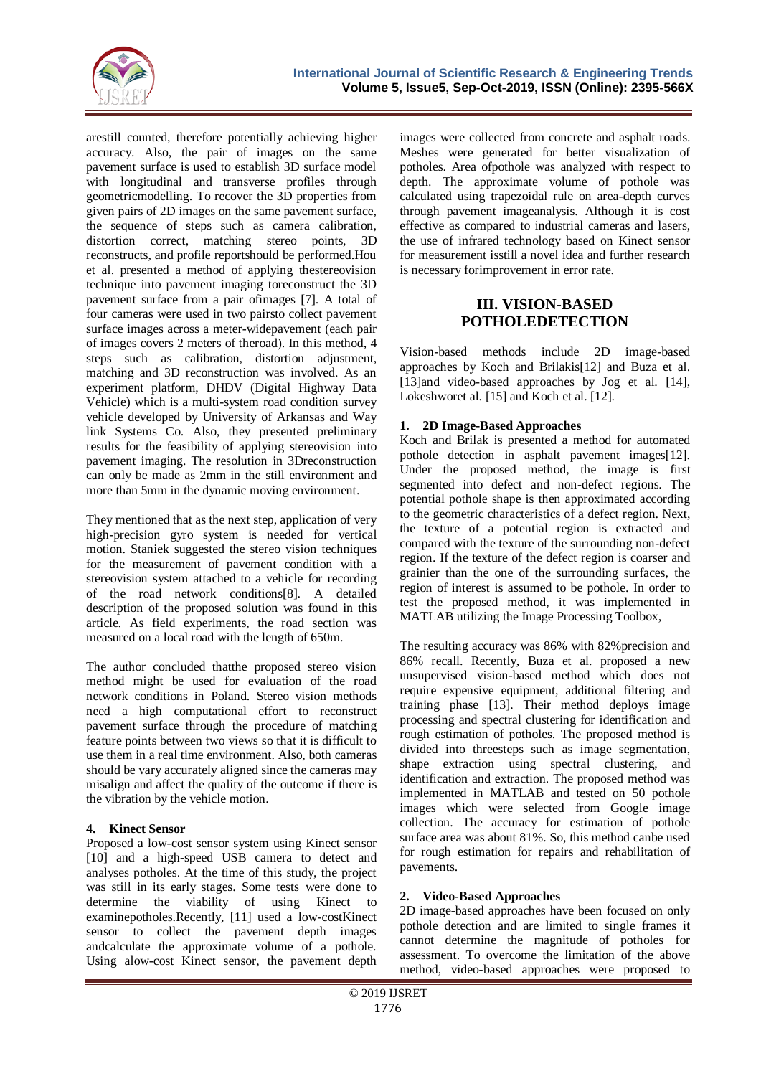

arestill counted, therefore potentially achieving higher accuracy. Also, the pair of images on the same pavement surface is used to establish 3D surface model with longitudinal and transverse profiles through geometricmodelling. To recover the 3D properties from given pairs of 2D images on the same pavement surface, the sequence of steps such as camera calibration, distortion correct, matching stereo points, 3D reconstructs, and profile reportshould be performed.Hou et al. presented a method of applying thestereovision technique into pavement imaging toreconstruct the 3D pavement surface from a pair ofimages [7]. A total of four cameras were used in two pairsto collect pavement surface images across a meter-widepavement (each pair of images covers 2 meters of theroad). In this method, 4 steps such as calibration, distortion adjustment, matching and 3D reconstruction was involved. As an experiment platform, DHDV (Digital Highway Data Vehicle) which is a multi-system road condition survey vehicle developed by University of Arkansas and Way link Systems Co. Also, they presented preliminary results for the feasibility of applying stereovision into pavement imaging. The resolution in 3Dreconstruction can only be made as 2mm in the still environment and more than 5mm in the dynamic moving environment.

They mentioned that as the next step, application of very high-precision gyro system is needed for vertical motion. Staniek suggested the stereo vision techniques for the measurement of pavement condition with a stereovision system attached to a vehicle for recording of the road network conditions[8]. A detailed description of the proposed solution was found in this article. As field experiments, the road section was measured on a local road with the length of 650m.

The author concluded thatthe proposed stereo vision method might be used for evaluation of the road network conditions in Poland. Stereo vision methods need a high computational effort to reconstruct pavement surface through the procedure of matching feature points between two views so that it is difficult to use them in a real time environment. Also, both cameras should be vary accurately aligned since the cameras may misalign and affect the quality of the outcome if there is the vibration by the vehicle motion.

# **4. Kinect Sensor**

Proposed a low-cost sensor system using Kinect sensor [10] and a high-speed USB camera to detect and analyses potholes. At the time of this study, the project was still in its early stages. Some tests were done to determine the viability of using Kinect to examinepotholes.Recently, [11] used a low-costKinect sensor to collect the pavement depth images andcalculate the approximate volume of a pothole. Using alow-cost Kinect sensor, the pavement depth

images were collected from concrete and asphalt roads. Meshes were generated for better visualization of potholes. Area ofpothole was analyzed with respect to depth. The approximate volume of pothole was calculated using trapezoidal rule on area-depth curves through pavement imageanalysis. Although it is cost effective as compared to industrial cameras and lasers, the use of infrared technology based on Kinect sensor for measurement isstill a novel idea and further research is necessary forimprovement in error rate.

# **III. VISION-BASED POTHOLEDETECTION**

Vision-based methods include 2D image-based approaches by Koch and Brilakis[12] and Buza et al. [13]and video-based approaches by Jog et al. [14], Lokeshworet al. [15] and Koch et al. [12].

### **1. 2D Image-Based Approaches**

Koch and Brilak is presented a method for automated pothole detection in asphalt pavement images[12]. Under the proposed method, the image is first segmented into defect and non-defect regions. The potential pothole shape is then approximated according to the geometric characteristics of a defect region. Next, the texture of a potential region is extracted and compared with the texture of the surrounding non-defect region. If the texture of the defect region is coarser and grainier than the one of the surrounding surfaces, the region of interest is assumed to be pothole. In order to test the proposed method, it was implemented in MATLAB utilizing the Image Processing Toolbox,

The resulting accuracy was 86% with 82%precision and 86% recall. Recently, Buza et al. proposed a new unsupervised vision-based method which does not require expensive equipment, additional filtering and training phase [13]. Their method deploys image processing and spectral clustering for identification and rough estimation of potholes. The proposed method is divided into threesteps such as image segmentation, shape extraction using spectral clustering, and identification and extraction. The proposed method was implemented in MATLAB and tested on 50 pothole images which were selected from Google image collection. The accuracy for estimation of pothole surface area was about 81%. So, this method canbe used for rough estimation for repairs and rehabilitation of pavements.

# **2. Video-Based Approaches**

2D image-based approaches have been focused on only pothole detection and are limited to single frames it cannot determine the magnitude of potholes for assessment. To overcome the limitation of the above method, video-based approaches were proposed to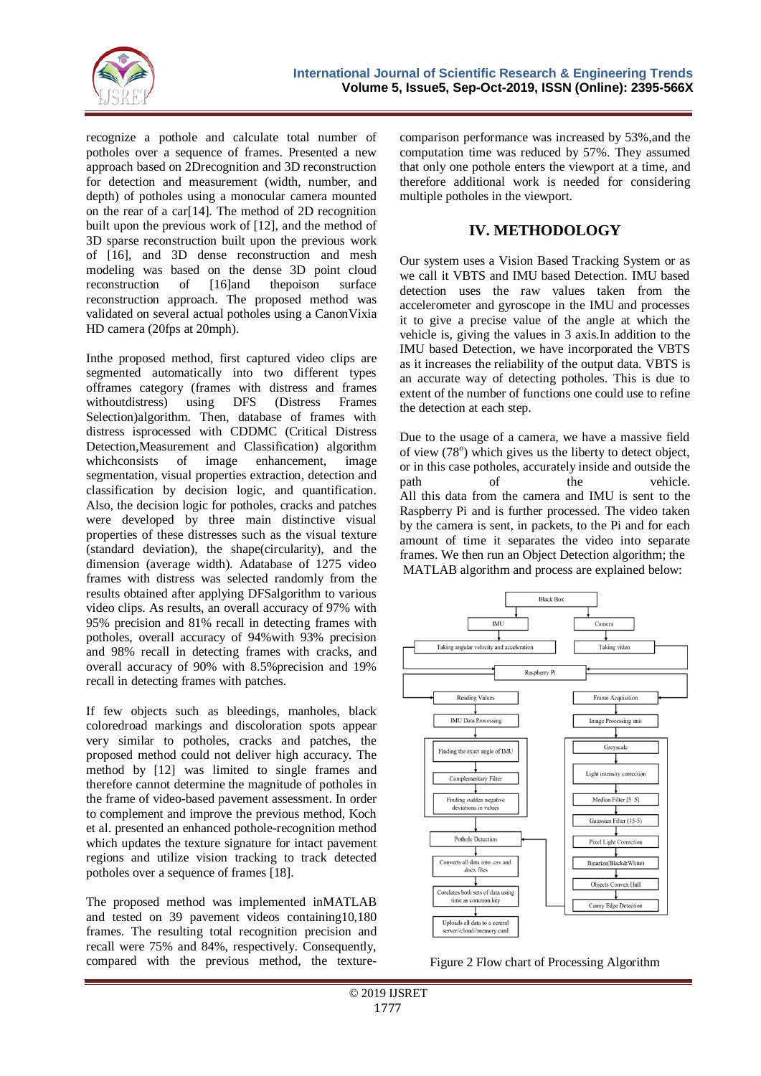

recognize a pothole and calculate total number of potholes over a sequence of frames. Presented a new approach based on 2Drecognition and 3D reconstruction for detection and measurement (width, number, and depth) of potholes using a monocular camera mounted on the rear of a car[14]. The method of 2D recognition built upon the previous work of [12], and the method of 3D sparse reconstruction built upon the previous work of [16], and 3D dense reconstruction and mesh modeling was based on the dense 3D point cloud reconstruction of [16]and thepoison surface reconstruction approach. The proposed method was validated on several actual potholes using a CanonVixia HD camera (20fps at 20mph).

Inthe proposed method, first captured video clips are segmented automatically into two different types offrames category (frames with distress and frames withoutdistress) using DFS (Distress Frames Selection)algorithm. Then, database of frames with distress isprocessed with CDDMC (Critical Distress Detection, Measurement and Classification) algorithm<br>whichconsists of image enhancement, image whichconsists of image enhancement, image segmentation, visual properties extraction, detection and classification by decision logic, and quantification. Also, the decision logic for potholes, cracks and patches were developed by three main distinctive visual properties of these distresses such as the visual texture (standard deviation), the shape(circularity), and the dimension (average width). Adatabase of 1275 video frames with distress was selected randomly from the results obtained after applying DFSalgorithm to various video clips. As results, an overall accuracy of 97% with 95% precision and 81% recall in detecting frames with potholes, overall accuracy of 94%with 93% precision and 98% recall in detecting frames with cracks, and overall accuracy of 90% with 8.5%precision and 19% recall in detecting frames with patches.

If few objects such as bleedings, manholes, black coloredroad markings and discoloration spots appear very similar to potholes, cracks and patches, the proposed method could not deliver high accuracy. The method by [12] was limited to single frames and therefore cannot determine the magnitude of potholes in the frame of video-based pavement assessment. In order to complement and improve the previous method, Koch et al. presented an enhanced pothole-recognition method which updates the texture signature for intact pavement regions and utilize vision tracking to track detected potholes over a sequence of frames [18].

The proposed method was implemented inMATLAB and tested on 39 pavement videos containing10,180 frames. The resulting total recognition precision and recall were 75% and 84%, respectively. Consequently, compared with the previous method, the texturecomparison performance was increased by 53%,and the computation time was reduced by 57%. They assumed that only one pothole enters the viewport at a time, and therefore additional work is needed for considering multiple potholes in the viewport.

# **IV. METHODOLOGY**

Our system uses a Vision Based Tracking System or as we call it VBTS and IMU based Detection. IMU based detection uses the raw values taken from the accelerometer and gyroscope in the IMU and processes it to give a precise value of the angle at which the vehicle is, giving the values in 3 axis.In addition to the IMU based Detection, we have incorporated the VBTS as it increases the reliability of the output data. VBTS is an accurate way of detecting potholes. This is due to extent of the number of functions one could use to refine the detection at each step.

Due to the usage of a camera, we have a massive field of view  $(78^{\circ})$  which gives us the liberty to detect object, or in this case potholes, accurately inside and outside the path of the vehicle. All this data from the camera and IMU is sent to the Raspberry Pi and is further processed. The video taken by the camera is sent, in packets, to the Pi and for each amount of time it separates the video into separate frames. We then run an Object Detection algorithm; the MATLAB algorithm and process are explained below:



Figure 2 Flow chart of Processing Algorithm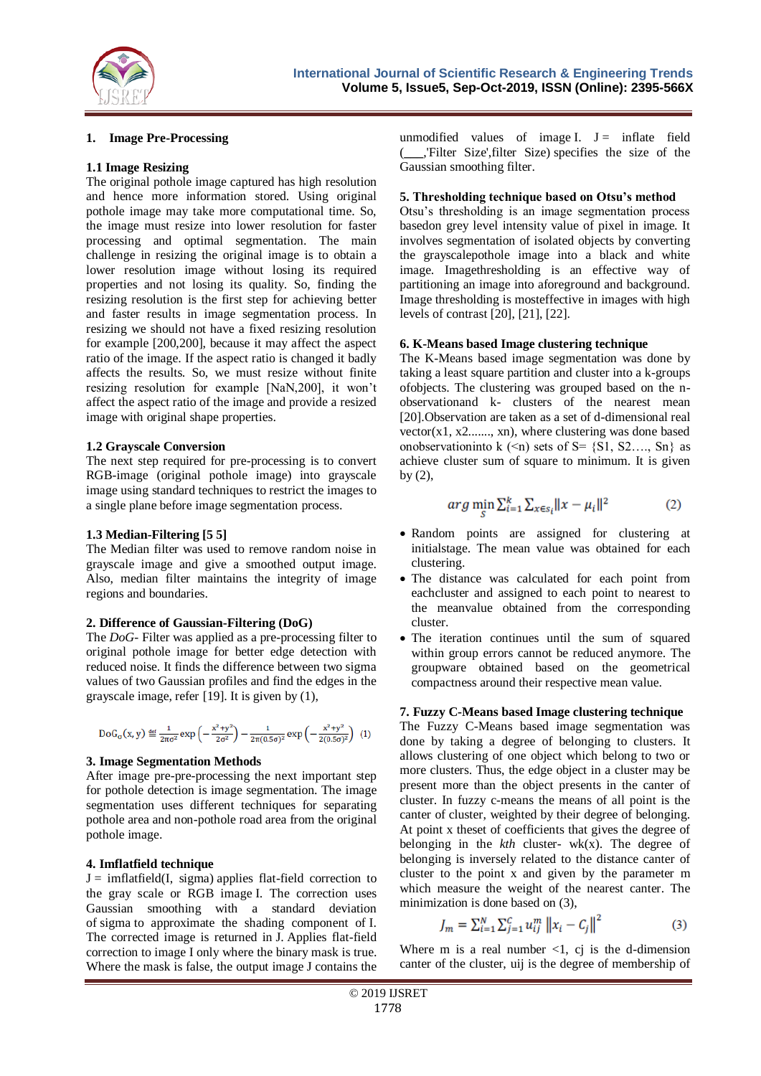

#### **1. Image Pre-Processing**

#### **1.1 Image Resizing**

The original pothole image captured has high resolution and hence more information stored. Using original pothole image may take more computational time. So, the image must resize into lower resolution for faster processing and optimal segmentation. The main challenge in resizing the original image is to obtain a lower resolution image without losing its required properties and not losing its quality. So, finding the resizing resolution is the first step for achieving better and faster results in image segmentation process. In resizing we should not have a fixed resizing resolution for example [200,200], because it may affect the aspect ratio of the image. If the aspect ratio is changed it badly affects the results. So, we must resize without finite resizing resolution for example [NaN,200], it won"t affect the aspect ratio of the image and provide a resized image with original shape properties.

#### **1.2 Grayscale Conversion**

The next step required for pre-processing is to convert RGB-image (original pothole image) into grayscale image using standard techniques to restrict the images to a single plane before image segmentation process.

#### **1.3 Median-Filtering [5 5]**

The Median filter was used to remove random noise in grayscale image and give a smoothed output image. Also, median filter maintains the integrity of image regions and boundaries.

#### **2. Difference of Gaussian-Filtering (DoG)**

The *DoG*- Filter was applied as a pre-processing filter to original pothole image for better edge detection with reduced noise. It finds the difference between two sigma values of two Gaussian profiles and find the edges in the grayscale image, refer [19]. It is given by (1),

$$
DoG_{\sigma}(x,y) \stackrel{\text{def}}{=} \frac{1}{2\pi\sigma^2} \exp\left(-\frac{x^2 + y^2}{2\sigma^2}\right) - \frac{1}{2\pi(0.5\sigma)^2} \exp\left(-\frac{x^2 + y^2}{2(0.5\sigma)^2}\right) (1)
$$

### **3. Image Segmentation Methods**

After image pre-pre-processing the next important step for pothole detection is image segmentation. The image segmentation uses different techniques for separating pothole area and non-pothole road area from the original pothole image.

#### **4. Imflatfield technique**

 $J = \text{imflatfield}(I, \text{sigma})$  $J = \text{imflatfield}(I, \text{sigma})$  applies flat-field correction to the gray scale or RGB image I. The correction uses Gaussian smoothing with a standard deviation of sigma to approximate the shading component of I. The corrected image is returned in J. Applies flat-field correction to image I only where the binary mask is true. Where the mask is false, the output image J contains the

unmodified values of image I.  $J =$  $J =$  inflate field (**\_\_\_**,'Filter Size'[,filter](https://in.mathworks.com/help/images/ref/imflatfield.html#mw_e42a52b6-68ac-4f3f-940a-9a911f6e0b3e) Size) specifies the size of the Gaussian smoothing filter.

#### **5. Thresholding technique based on Otsu's method**

Otsu"s thresholding is an image segmentation process basedon grey level intensity value of pixel in image. It involves segmentation of isolated objects by converting the grayscalepothole image into a black and white image. Imagethresholding is an effective way of partitioning an image into aforeground and background. Image thresholding is mosteffective in images with high levels of contrast [20], [21], [22].

#### **6. K-Means based Image clustering technique**

The K-Means based image segmentation was done by taking a least square partition and cluster into a k-groups ofobjects. The clustering was grouped based on the nobservationand k- clusters of the nearest mean [20].Observation are taken as a set of d-dimensional real vector( $x1, x2...$ , xn), where clustering was done based onobservationinto k  $(\leq n)$  sets of S=  $\{S_1, S_2, \ldots, S_n\}$  as achieve cluster sum of square to minimum. It is given by  $(2)$ ,

$$
arg\min_{S} \sum_{i=1}^{k} \sum_{x \in s_i} ||x - \mu_i||^2 \tag{2}
$$

- Random points are assigned for clustering at initialstage. The mean value was obtained for each clustering.
- The distance was calculated for each point from eachcluster and assigned to each point to nearest to the meanvalue obtained from the corresponding cluster.
- The iteration continues until the sum of squared within group errors cannot be reduced anymore. The groupware obtained based on the geometrical compactness around their respective mean value.

#### **7. Fuzzy C-Means based Image clustering technique**

The Fuzzy C-Means based image segmentation was done by taking a degree of belonging to clusters. It allows clustering of one object which belong to two or more clusters. Thus, the edge object in a cluster may be present more than the object presents in the canter of cluster. In fuzzy c-means the means of all point is the canter of cluster, weighted by their degree of belonging. At point x theset of coefficients that gives the degree of belonging in the *kth* cluster- wk(x). The degree of belonging is inversely related to the distance canter of cluster to the point x and given by the parameter m which measure the weight of the nearest canter. The minimization is done based on (3),

$$
J_m = \sum_{i=1}^{N} \sum_{j=1}^{C} u_{ij}^m ||x_i - C_j||^2
$$
 (3)

Where m is a real number  $\langle 1, c \rangle$  is the d-dimension canter of the cluster, uij is the degree of membership of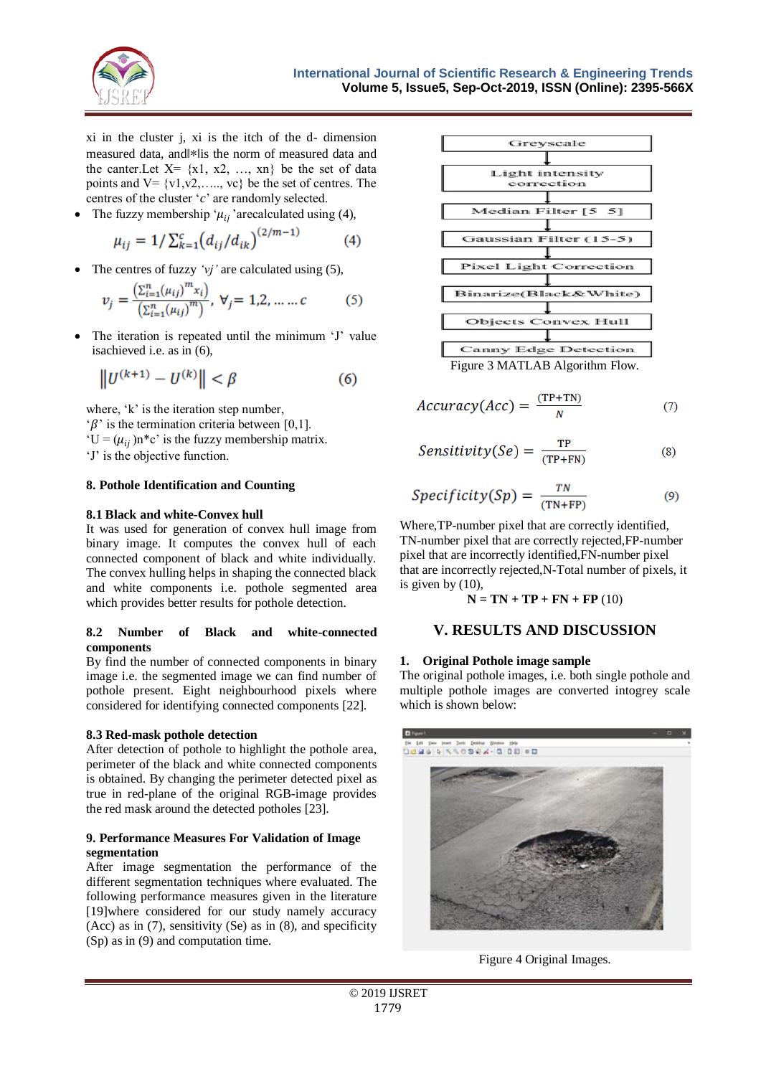

xi in the cluster j, xi is the itch of the d- dimension measured data, and‖∗‖is the norm of measured data and the canter. Let  $X = \{x1, x2, ..., xn\}$  be the set of data points and  $V = \{v1, v2, \ldots, vc\}$  be the set of centres. The centres of the cluster "*c*" are randomly selected.

• The fuzzy membership ' $\mu_{ij}$ ' are calculated using (4),

$$
\mu_{ij} = 1/\sum_{k=1}^{c} (d_{ij}/d_{ik})^{(2/m-1)}
$$
(4)

The centres of fuzzy *'vj'* are calculated using (5),

$$
v_j = \frac{\left(\sum_{i=1}^n (\mu_{ij})^m x_i\right)}{\left(\sum_{i=1}^n (\mu_{ij})^m\right)}, \ \forall j = 1, 2, \dots \dots c \tag{5}
$$

The iteration is repeated until the minimum 'J' value isachieved i.e. as in (6),

$$
\|U^{(k+1)} - U^{(k)}\| < \beta \tag{6}
$$

where, 'k' is the iteration step number,  $\beta$  is the termination criteria between [0,1].  $"U = (\mu_{ij})$ n\*c' is the fuzzy membership matrix. "J" is the objective function.

### **8. Pothole Identification and Counting**

#### **8.1 Black and white-Convex hull**

It was used for generation of convex hull image from binary image. It computes the convex hull of each connected component of black and white individually. The convex hulling helps in shaping the connected black and white components i.e. pothole segmented area which provides better results for pothole detection.

#### **8.2 Number of Black and white-connected components**

By find the number of connected components in binary image i.e. the segmented image we can find number of pothole present. Eight neighbourhood pixels where considered for identifying connected components [22].

#### **8.3 Red-mask pothole detection**

After detection of pothole to highlight the pothole area, perimeter of the black and white connected components is obtained. By changing the perimeter detected pixel as true in red-plane of the original RGB-image provides the red mask around the detected potholes [23].

### **9. Performance Measures For Validation of Image segmentation**

After image segmentation the performance of the different segmentation techniques where evaluated. The following performance measures given in the literature [19]where considered for our study namely accuracy (Acc) as in  $(7)$ , sensitivity (Se) as in  $(8)$ , and specificity (Sp) as in (9) and computation time.



$$
Accuracy(Acc) = \frac{(TP + TN)}{N}
$$
 (7)

$$
Sensitivity(Se) = \frac{\text{TP}}{(\text{TP} + \text{FN})}
$$
 (8)

$$
Specificity(Sp) = \frac{TN}{(TN + FP)}
$$
 (9)

Where,TP-number pixel that are correctly identified, TN-number pixel that are correctly rejected,FP-number pixel that are incorrectly identified,FN-number pixel that are incorrectly rejected,N-Total number of pixels, it is given by (10),

$$
N = TN + TP + FN + FP (10)
$$

# **V. RESULTS AND DISCUSSION**

#### **1. Original Pothole image sample**

The original pothole images, i.e. both single pothole and multiple pothole images are converted intogrey scale which is shown below:



Figure 4 Original Images.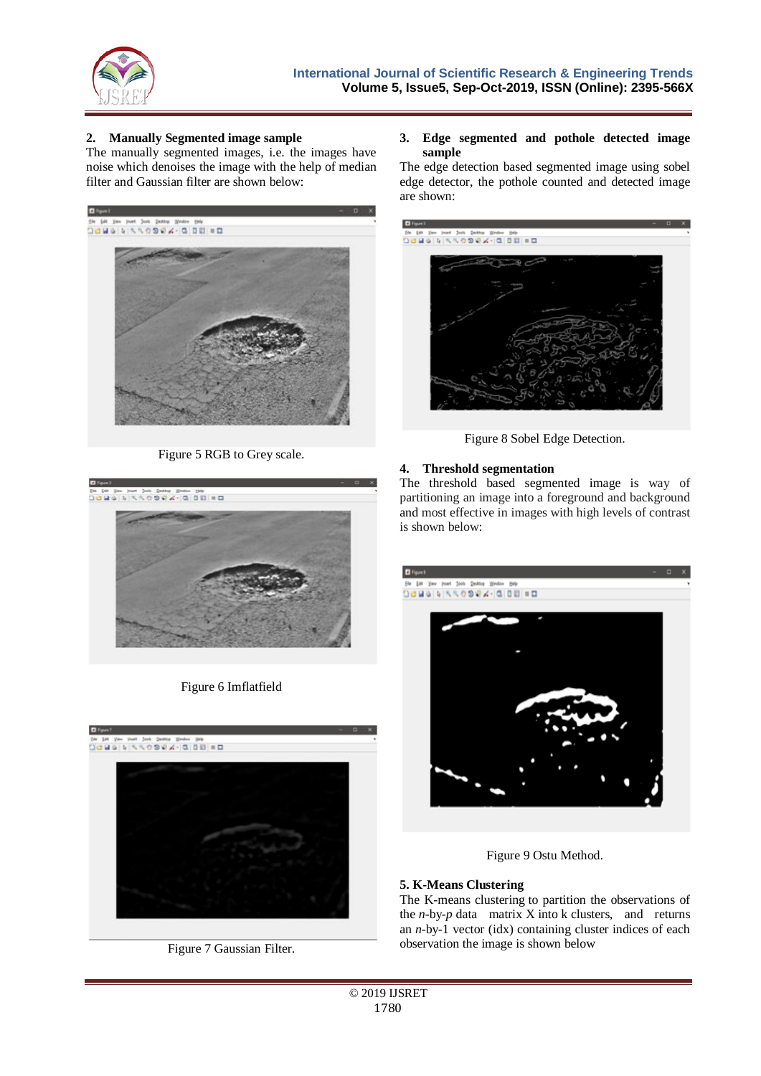

# **2. Manually Segmented image sample**

The manually segmented images, i.e. the images have noise which denoises the image with the help of median filter and Gaussian filter are shown below:



Figure 5 RGB to Grey scale.



Figure 6 Imflatfield



Figure 7 Gaussian Filter.

#### **3. Edge segmented and pothole detected image sample**

The edge detection based segmented image using sobel edge detector, the pothole counted and detected image are shown:

| <b>Insert Tools Desktop Window Help</b><br><b>Y</b> iew |  |
|---------------------------------------------------------|--|
| 088699338498898                                         |  |
|                                                         |  |
|                                                         |  |
|                                                         |  |
|                                                         |  |
|                                                         |  |
|                                                         |  |
|                                                         |  |

Figure 8 Sobel Edge Detection.

# **4. Threshold segmentation**

The threshold based segmented image is way of partitioning an image into a foreground and background and most effective in images with high levels of contrast is shown below:



Figure 9 Ostu Method.

# **5. K-Means Clustering**

The K-means clustering to partition the observations of the  $n$ -by- $p$  data matrix X into k clusters, and returns an *n*-by-1 vector (idx) containing cluster indices of each observation the image is shown below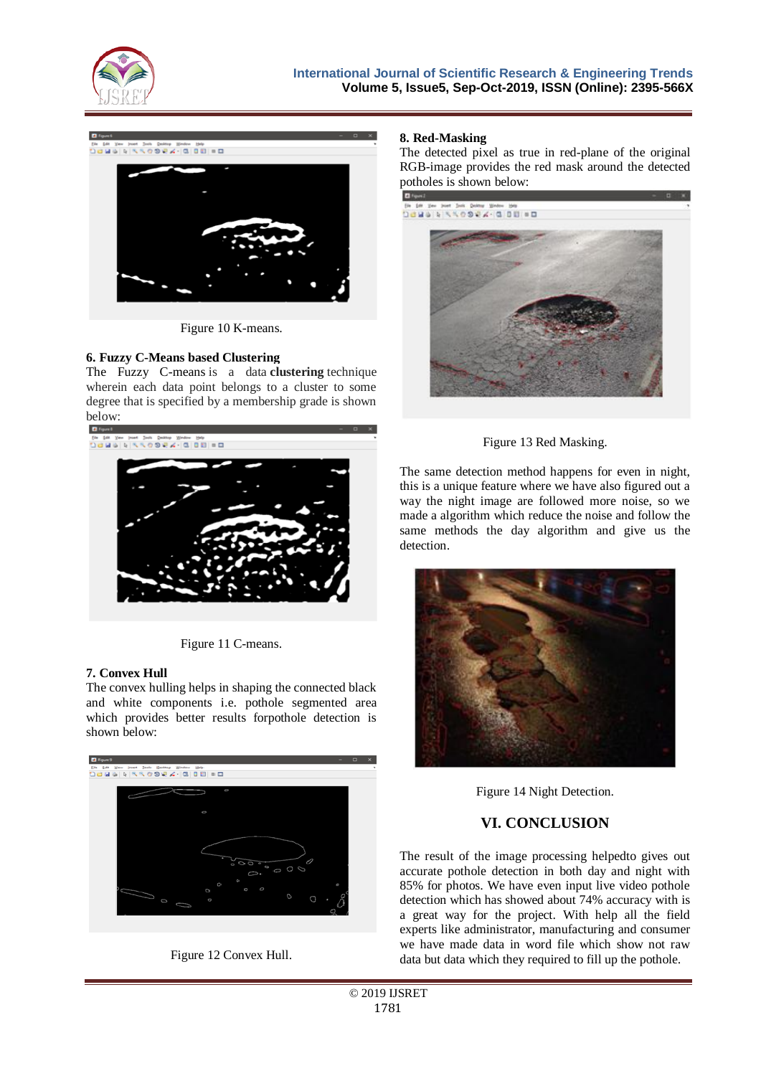



Figure 10 K-means.

### **6. Fuzzy C-Means based Clustering**

The Fuzzy C-means is a data **clustering** technique wherein each data point belongs to a cluster to some degree that is specified by a membership grade is shown below:



Figure 11 C-means.

# **7. Convex Hull**

The convex hulling helps in shaping the connected black and white components i.e. pothole segmented area which provides better results forpothole detection is shown below:



Figure 12 Convex Hull.

### **8. Red-Masking**

The detected pixel as true in red-plane of the original RGB-image provides the red mask around the detected potholes is shown below:



Figure 13 Red Masking.

The same detection method happens for even in night, this is a unique feature where we have also figured out a way the night image are followed more noise, so we made a algorithm which reduce the noise and follow the same methods the day algorithm and give us the detection.



Figure 14 Night Detection.

# **VI. CONCLUSION**

The result of the image processing helpedto gives out accurate pothole detection in both day and night with 85% for photos. We have even input live video pothole detection which has showed about 74% accuracy with is a great way for the project. With help all the field experts like administrator, manufacturing and consumer we have made data in word file which show not raw data but data which they required to fill up the pothole.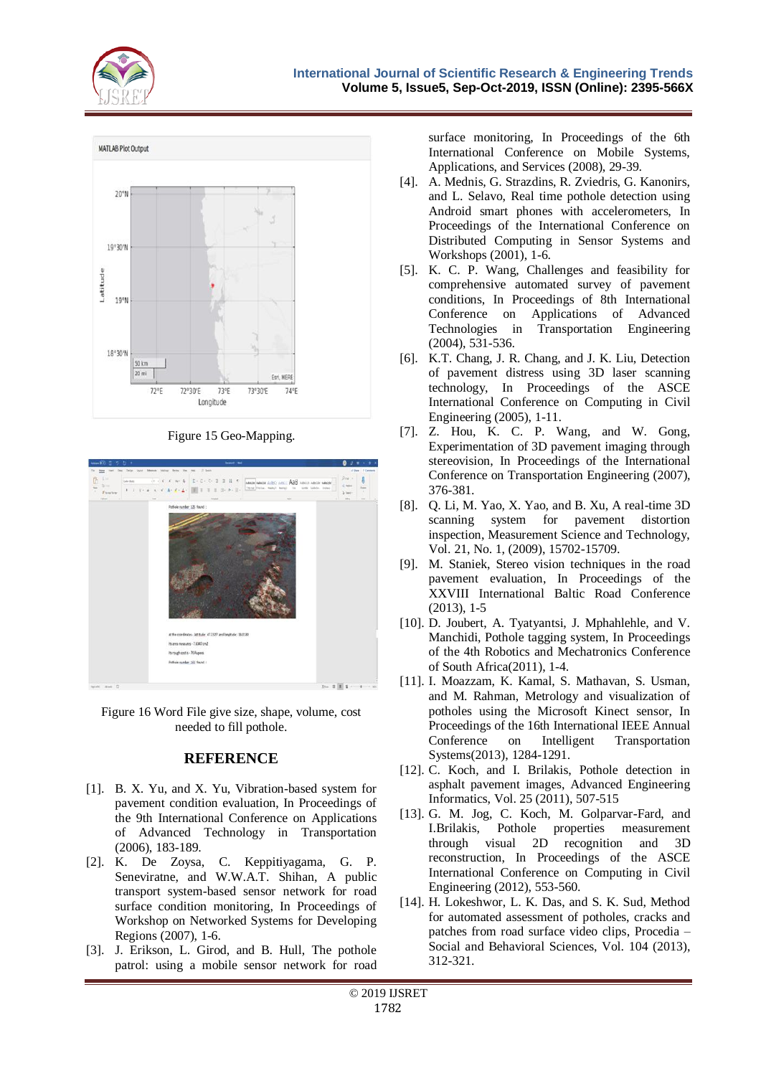



Figure 15 Geo-Mapping.



Figure 16 Word File give size, shape, volume, cost needed to fill pothole.

# **REFERENCE**

- [1]. B. X. Yu, and X. Yu, Vibration-based system for pavement condition evaluation, In Proceedings of the 9th International Conference on Applications of Advanced Technology in Transportation (2006), 183-189.
- [2]. K. De Zoysa, C. Keppitiyagama, G. P. Seneviratne, and W.W.A.T. Shihan, A public transport system-based sensor network for road surface condition monitoring, In Proceedings of Workshop on Networked Systems for Developing Regions (2007), 1-6.
- [3]. J. Erikson, L. Girod, and B. Hull, The pothole patrol: using a mobile sensor network for road

surface monitoring, In Proceedings of the 6th International Conference on Mobile Systems, Applications, and Services (2008), 29-39.

- [4]. A. Mednis, G. Strazdins, R. Zviedris, G. Kanonirs, and L. Selavo, Real time pothole detection using Android smart phones with accelerometers, In Proceedings of the International Conference on Distributed Computing in Sensor Systems and Workshops (2001), 1-6.
- [5]. K. C. P. Wang, Challenges and feasibility for comprehensive automated survey of pavement conditions, In Proceedings of 8th International Conference on Applications of Advanced Technologies in Transportation Engineering (2004), 531-536.
- [6]. K.T. Chang, J. R. Chang, and J. K. Liu, Detection of pavement distress using 3D laser scanning technology, In Proceedings of the ASCE International Conference on Computing in Civil Engineering (2005), 1-11.
- [7]. Z. Hou, K. C. P. Wang, and W. Gong, Experimentation of 3D pavement imaging through stereovision, In Proceedings of the International Conference on Transportation Engineering (2007), 376-381.
- [8]. Q. Li, M. Yao, X. Yao, and B. Xu, A real-time 3D scanning system for pavement distortion inspection, Measurement Science and Technology, Vol. 21, No. 1, (2009), 15702-15709.
- [9]. M. Staniek, Stereo vision techniques in the road pavement evaluation, In Proceedings of the XXVIII International Baltic Road Conference (2013), 1-5
- [10]. D. Joubert, A. Tyatyantsi, J. Mphahlehle, and V. Manchidi, Pothole tagging system, In Proceedings of the 4th Robotics and Mechatronics Conference of South Africa(2011), 1-4.
- [11]. I. Moazzam, K. Kamal, S. Mathavan, S. Usman, and M. Rahman, Metrology and visualization of potholes using the Microsoft Kinect sensor, In Proceedings of the 16th International IEEE Annual Conference on Intelligent Transportation Systems(2013), 1284-1291.
- [12]. C. Koch, and I. Brilakis, Pothole detection in asphalt pavement images, Advanced Engineering Informatics, Vol. 25 (2011), 507-515
- [13]. G. M. Jog, C. Koch, M. Golparvar-Fard, and I.Brilakis, Pothole properties measurement through visual 2D recognition and 3D reconstruction, In Proceedings of the ASCE International Conference on Computing in Civil Engineering (2012), 553-560.
- [14]. H. Lokeshwor, L. K. Das, and S. K. Sud, Method for automated assessment of potholes, cracks and patches from road surface video clips, Procedia – Social and Behavioral Sciences, Vol. 104 (2013), 312-321.